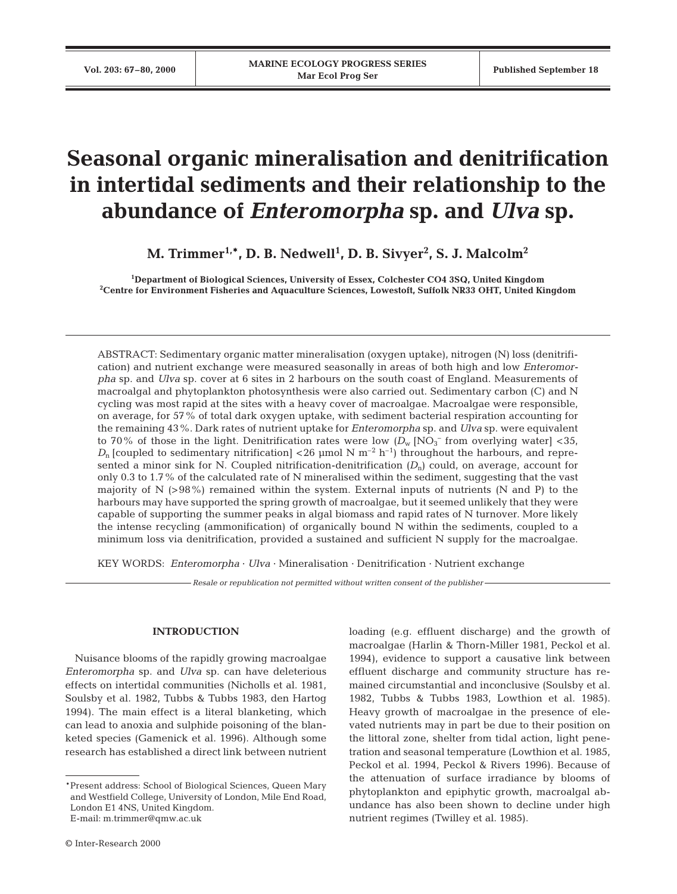# **Seasonal organic mineralisation and denitrification in intertidal sediments and their relationship to the abundance of** *Enteromorpha* **sp. and** *Ulva* **sp.**

M. Trimmer<sup>1,</sup>\*, D. B. Nedwell<sup>1</sup>, D. B. Sivyer<sup>2</sup>, S. J. Malcolm<sup>2</sup>

**1 Department of Biological Sciences, University of Essex, Colchester CO4 3SQ, United Kingdom 2 Centre for Environment Fisheries and Aquaculture Sciences, Lowestoft, Suffolk NR33 OHT, United Kingdom**

ABSTRACT: Sedimentary organic matter mineralisation (oxygen uptake), nitrogen (N) loss (denitrification) and nutrient exchange were measured seasonally in areas of both high and low *Enteromorpha* sp. and *Ulva* sp. cover at 6 sites in 2 harbours on the south coast of England. Measurements of macroalgal and phytoplankton photosynthesis were also carried out. Sedimentary carbon (C) and N cycling was most rapid at the sites with a heavy cover of macroalgae. Macroalgae were responsible, on average, for 57% of total dark oxygen uptake, with sediment bacterial respiration accounting for the remaining 43%. Dark rates of nutrient uptake for *Enteromorpha* sp. and *Ulva* sp. were equivalent to 70% of those in the light. Denitrification rates were low  $(D_w \,[\mathrm{NO_3^-}$  from overlying water] <35,  $D_n$  [coupled to sedimentary nitrification] <26 µmol N m<sup>-2</sup> h<sup>-1</sup>) throughout the harbours, and represented a minor sink for N. Coupled nitrification-denitrification  $(D_n)$  could, on average, account for only 0.3 to 1.7% of the calculated rate of N mineralised within the sediment, suggesting that the vast majority of N (>98%) remained within the system. External inputs of nutrients (N and P) to the harbours may have supported the spring growth of macroalgae, but it seemed unlikely that they were capable of supporting the summer peaks in algal biomass and rapid rates of N turnover. More likely the intense recycling (ammonification) of organically bound N within the sediments, coupled to a minimum loss via denitrification, provided a sustained and sufficient N supply for the macroalgae.

KEY WORDS: *Enteromorpha* · *Ulva* · Mineralisation · Denitrification · Nutrient exchange

*Resale or republication not permitted without written consent of the publisher*

# **INTRODUCTION**

Nuisance blooms of the rapidly growing macroalgae *Enteromorpha* sp. and *Ulva* sp. can have deleterious effects on intertidal communities (Nicholls et al. 1981, Soulsby et al. 1982, Tubbs & Tubbs 1983, den Hartog 1994). The main effect is a literal blanketing, which can lead to anoxia and sulphide poisoning of the blanketed species (Gamenick et al. 1996). Although some research has established a direct link between nutrient

\*E-mail: m.trimmer@qmw.ac.uk

loading (e.g. effluent discharge) and the growth of macroalgae (Harlin & Thorn-Miller 1981, Peckol et al. 1994), evidence to support a causative link between effluent discharge and community structure has remained circumstantial and inconclusive (Soulsby et al. 1982, Tubbs & Tubbs 1983, Lowthion et al. 1985). Heavy growth of macroalgae in the presence of elevated nutrients may in part be due to their position on the littoral zone, shelter from tidal action, light penetration and seasonal temperature (Lowthion et al. 1985, Peckol et al. 1994, Peckol & Rivers 1996). Because of the attenuation of surface irradiance by blooms of phytoplankton and epiphytic growth, macroalgal abundance has also been shown to decline under high nutrient regimes (Twilley et al. 1985).

<sup>\*</sup>Present address: School of Biological Sciences, Queen Mary and Westfield College, University of London, Mile End Road, London E1 4NS, United Kingdom.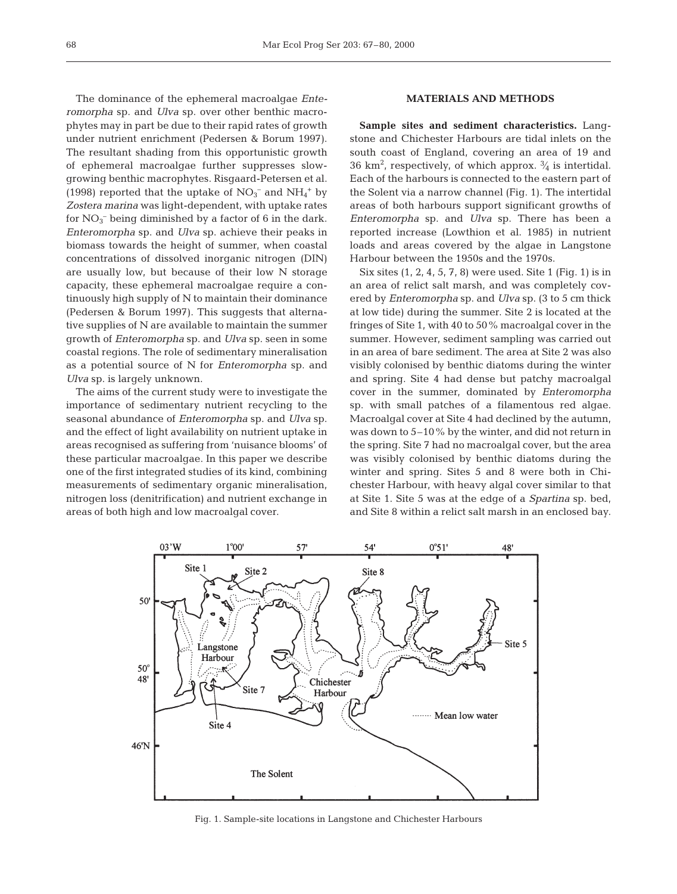The dominance of the ephemeral macroalgae *Enteromorpha* sp. and *Ulva* sp. over other benthic macrophytes may in part be due to their rapid rates of growth under nutrient enrichment (Pedersen & Borum 1997). The resultant shading from this opportunistic growth of ephemeral macroalgae further suppresses slowgrowing benthic macrophytes. Risgaard-Petersen et al. (1998) reported that the uptake of  $NO<sub>3</sub><sup>-</sup>$  and  $NH<sub>4</sub><sup>+</sup>$  by *Zostera marina* was light-dependent, with uptake rates for  $NO<sub>3</sub><sup>-</sup>$  being diminished by a factor of 6 in the dark. *Enteromorpha* sp. and *Ulva* sp. achieve their peaks in biomass towards the height of summer, when coastal concentrations of dissolved inorganic nitrogen (DIN) are usually low, but because of their low N storage capacity, these ephemeral macroalgae require a continuously high supply of N to maintain their dominance (Pedersen & Borum 1997). This suggests that alternative supplies of N are available to maintain the summer growth of *Enteromorpha* sp. and *Ulva* sp. seen in some coastal regions. The role of sedimentary mineralisation as a potential source of N for *Enteromorpha* sp. and *Ulva* sp. is largely unknown.

The aims of the current study were to investigate the importance of sedimentary nutrient recycling to the seasonal abundance of *Enteromorpha* sp. and *Ulva* sp. and the effect of light availability on nutrient uptake in areas recognised as suffering from 'nuisance blooms' of these particular macroalgae. In this paper we describe one of the first integrated studies of its kind, combining measurements of sedimentary organic mineralisation, nitrogen loss (denitrification) and nutrient exchange in areas of both high and low macroalgal cover.

## **MATERIALS AND METHODS**

**Sample sites and sediment characteristics.** Langstone and Chichester Harbours are tidal inlets on the south coast of England, covering an area of 19 and 36 km<sup>2</sup>, respectively, of which approx.  $\frac{3}{4}$  is intertidal. Each of the harbours is connected to the eastern part of the Solent via a narrow channel (Fig. 1). The intertidal areas of both harbours support significant growths of *Enteromorpha* sp. and *Ulva* sp. There has been a reported increase (Lowthion et al. 1985) in nutrient loads and areas covered by the algae in Langstone Harbour between the 1950s and the 1970s.

Six sites (1, 2, 4, 5, 7, 8) were used. Site 1 (Fig. 1) is in an area of relict salt marsh, and was completely covered by *Enteromorpha* sp. and *Ulva* sp. (3 to 5 cm thick at low tide) during the summer. Site 2 is located at the fringes of Site 1, with 40 to 50% macroalgal cover in the summer. However, sediment sampling was carried out in an area of bare sediment. The area at Site 2 was also visibly colonised by benthic diatoms during the winter and spring. Site 4 had dense but patchy macroalgal cover in the summer, dominated by *Enteromorpha* sp. with small patches of a filamentous red algae. Macroalgal cover at Site 4 had declined by the autumn, was down to 5–10% by the winter, and did not return in the spring. Site 7 had no macroalgal cover, but the area was visibly colonised by benthic diatoms during the winter and spring. Sites 5 and 8 were both in Chichester Harbour, with heavy algal cover similar to that at Site 1. Site 5 was at the edge of a *Spartina* sp. bed, and Site 8 within a relict salt marsh in an enclosed bay.



Fig. 1. Sample-site locations in Langstone and Chichester Harbours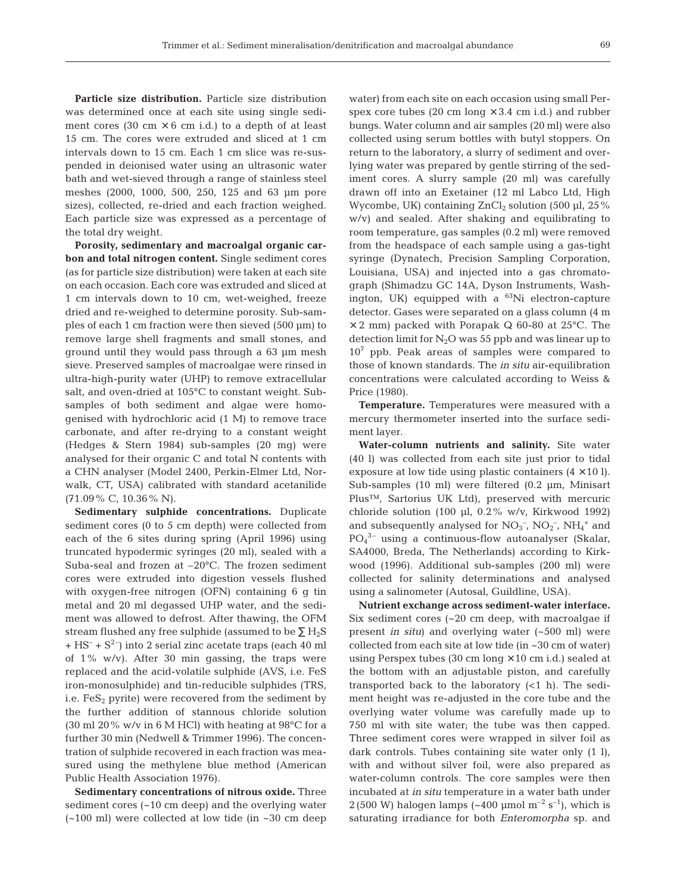**Particle size distribution.** Particle size distribution was determined once at each site using single sediment cores (30 cm  $\times$  6 cm i.d.) to a depth of at least 15 cm. The cores were extruded and sliced at 1 cm intervals down to 15 cm. Each 1 cm slice was re-suspended in deionised water using an ultrasonic water bath and wet-sieved through a range of stainless steel meshes (2000, 1000, 500, 250, 125 and 63 µm pore sizes), collected, re-dried and each fraction weighed. Each particle size was expressed as a percentage of the total dry weight.

**Porosity, sedimentary and macroalgal organic carbon and total nitrogen content.** Single sediment cores (as for particle size distribution) were taken at each site on each occasion. Each core was extruded and sliced at 1 cm intervals down to 10 cm, wet-weighed, freeze dried and re-weighed to determine porosity. Sub-samples of each 1 cm fraction were then sieved (500 µm) to remove large shell fragments and small stones, and ground until they would pass through a 63 µm mesh sieve. Preserved samples of macroalgae were rinsed in ultra-high-purity water (UHP) to remove extracellular salt, and oven-dried at 105°C to constant weight. Subsamples of both sediment and algae were homogenised with hydrochloric acid (1 M) to remove trace carbonate, and after re-drying to a constant weight (Hedges & Stern 1984) sub-samples (20 mg) were analysed for their organic C and total N contents with a CHN analyser (Model 2400, Perkin-Elmer Ltd, Norwalk, CT, USA) calibrated with standard acetanilide (71.09% C, 10.36% N).

**Sedimentary sulphide concentrations.** Duplicate sediment cores (0 to 5 cm depth) were collected from each of the 6 sites during spring (April 1996) using truncated hypodermic syringes (20 ml), sealed with a Suba-seal and frozen at –20°C. The frozen sediment cores were extruded into digestion vessels flushed with oxygen-free nitrogen (OFN) containing 6 g tin metal and 20 ml degassed UHP water, and the sediment was allowed to defrost. After thawing, the OFM stream flushed any free sulphide (assumed to be  $\Sigma$  H<sub>2</sub>S  $+$  HS<sup>-</sup> + S<sup>2-</sup>) into 2 serial zinc acetate traps (each 40 ml of 1% w/v). After 30 min gassing, the traps were replaced and the acid-volatile sulphide (AVS, i.e. FeS iron-monosulphide) and tin-reducible sulphides (TRS, i.e.  $FeS<sub>2</sub>$  pyrite) were recovered from the sediment by the further addition of stannous chloride solution (30 ml 20% w/v in 6 M HCl) with heating at  $98^{\circ}$ C for a further 30 min (Nedwell & Trimmer 1996). The concentration of sulphide recovered in each fraction was measured using the methylene blue method (American Public Health Association 1976).

**Sedimentary concentrations of nitrous oxide.** Three sediment cores (~10 cm deep) and the overlying water (~100 ml) were collected at low tide (in ~30 cm deep water) from each site on each occasion using small Perspex core tubes (20 cm long  $\times$  3.4 cm i.d.) and rubber bungs. Water column and air samples (20 ml) were also collected using serum bottles with butyl stoppers. On return to the laboratory, a slurry of sediment and overlying water was prepared by gentle stirring of the sediment cores. A slurry sample (20 ml) was carefully drawn off into an Exetainer (12 ml Labco Ltd, High Wycombe, UK) containing  $ZnCl<sub>2</sub>$  solution (500 µl, 25%) w/v) and sealed. After shaking and equilibrating to room temperature, gas samples (0.2 ml) were removed from the headspace of each sample using a gas-tight syringe (Dynatech, Precision Sampling Corporation, Louisiana, USA) and injected into a gas chromatograph (Shimadzu GC 14A, Dyson Instruments, Washington, UK) equipped with a  $^{63}$ Ni electron-capture detector. Gases were separated on a glass column (4 m  $\times$  2 mm) packed with Porapak Q 60-80 at 25 $^{\circ}$ C. The detection limit for  $N_2O$  was 55 ppb and was linear up to  $10<sup>7</sup>$  ppb. Peak areas of samples were compared to those of known standards. The *in situ* air-equilibration concentrations were calculated according to Weiss & Price (1980).

**Temperature.** Temperatures were measured with a mercury thermometer inserted into the surface sediment layer.

**Water-column nutrients and salinity.** Site water (40 l) was collected from each site just prior to tidal exposure at low tide using plastic containers  $(4 \times 10)$ . Sub-samples (10 ml) were filtered (0.2 µm, Minisart Plus™, Sartorius UK Ltd), preserved with mercuric chloride solution (100 µl,  $0.2\%$  w/v, Kirkwood 1992) and subsequently analysed for  $NO_3^-$ ,  $NO_2^-$ ,  $NH_4^+$  and PO4 3– using a continuous-flow autoanalyser (Skalar, SA4000, Breda, The Netherlands) according to Kirkwood (1996). Additional sub-samples (200 ml) were collected for salinity determinations and analysed using a salinometer (Autosal, Guildline, USA).

**Nutrient exchange across sediment-water interface.** Six sediment cores (~20 cm deep, with macroalgae if present *in situ*) and overlying water (~500 ml) were collected from each site at low tide (in ~30 cm of water) using Perspex tubes (30 cm long  $\times$  10 cm i.d.) sealed at the bottom with an adjustable piston, and carefully transported back to the laboratory  $(<1$  h). The sediment height was re-adjusted in the core tube and the overlying water volume was carefully made up to 750 ml with site water; the tube was then capped. Three sediment cores were wrapped in silver foil as dark controls. Tubes containing site water only (1 l), with and without silver foil, were also prepared as water-column controls. The core samples were then incubated at *in situ* temperature in a water bath under 2 (500 W) halogen lamps (~400 µmol  $\mathrm{m}^{-2}$  s<sup>-1</sup>), which is saturating irradiance for both *Enteromorpha* sp. and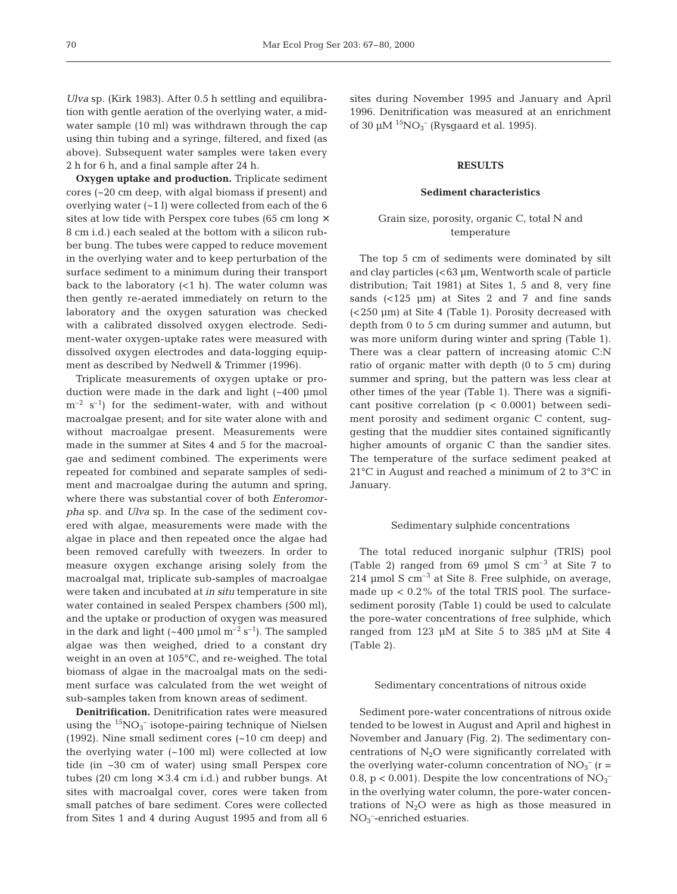*Ulva* sp. (Kirk 1983). After 0.5 h settling and equilibration with gentle aeration of the overlying water, a midwater sample (10 ml) was withdrawn through the cap using thin tubing and a syringe, filtered, and fixed (as above). Subsequent water samples were taken every 2 h for 6 h, and a final sample after 24 h.

**Oxygen uptake and production.** Triplicate sediment cores (~20 cm deep, with algal biomass if present) and overlying water  $(-1)$  were collected from each of the 6 sites at low tide with Perspex core tubes (65 cm long  $\times$ 8 cm i.d.) each sealed at the bottom with a silicon rubber bung. The tubes were capped to reduce movement in the overlying water and to keep perturbation of the surface sediment to a minimum during their transport back to the laboratory  $(<1 h)$ . The water column was then gently re-aerated immediately on return to the laboratory and the oxygen saturation was checked with a calibrated dissolved oxygen electrode. Sediment-water oxygen-uptake rates were measured with dissolved oxygen electrodes and data-logging equipment as described by Nedwell & Trimmer (1996).

Triplicate measurements of oxygen uptake or production were made in the dark and light (~400 µmol  $m^{-2}$  s<sup>-1</sup>) for the sediment-water, with and without macroalgae present; and for site water alone with and without macroalgae present. Measurements were made in the summer at Sites 4 and 5 for the macroalgae and sediment combined. The experiments were repeated for combined and separate samples of sediment and macroalgae during the autumn and spring, where there was substantial cover of both *Enteromorpha* sp. and *Ulva* sp. In the case of the sediment covered with algae, measurements were made with the algae in place and then repeated once the algae had been removed carefully with tweezers. In order to measure oxygen exchange arising solely from the macroalgal mat, triplicate sub-samples of macroalgae were taken and incubated at *in situ* temperature in site water contained in sealed Perspex chambers (500 ml), and the uptake or production of oxygen was measured in the dark and light  $(-400 \text{ \mu mol m}^{-2} \text{ s}^{-1})$ . The sampled algae was then weighed, dried to a constant dry weight in an oven at 105°C, and re-weighed. The total biomass of algae in the macroalgal mats on the sediment surface was calculated from the wet weight of sub-samples taken from known areas of sediment.

**Denitrification.** Denitrification rates were measured using the  ${}^{15}NO_3^-$  isotope-pairing technique of Nielsen (1992). Nine small sediment cores (~10 cm deep) and the overlying water (~100 ml) were collected at low tide (in ~30 cm of water) using small Perspex core tubes (20 cm long  $\times$  3.4 cm i.d.) and rubber bungs. At sites with macroalgal cover, cores were taken from small patches of bare sediment. Cores were collected from Sites 1 and 4 during August 1995 and from all 6

sites during November 1995 and January and April 1996. Denitrification was measured at an enrichment of 30  $\mu$ M  $\rm{^{15}NO_3^-}$  (Rysgaard et al. 1995).

### **RESULTS**

### **Sediment characteristics**

# Grain size, porosity, organic C, total N and temperature

The top 5 cm of sediments were dominated by silt and clay particles (<63 µm, Wentworth scale of particle distribution; Tait 1981) at Sites 1, 5 and 8, very fine sands  $\left($  <125 µm) at Sites 2 and 7 and fine sands (<250 µm) at Site 4 (Table 1). Porosity decreased with depth from 0 to 5 cm during summer and autumn, but was more uniform during winter and spring (Table 1). There was a clear pattern of increasing atomic C:N ratio of organic matter with depth (0 to 5 cm) during summer and spring, but the pattern was less clear at other times of the year (Table 1). There was a significant positive correlation  $(p < 0.0001)$  between sediment porosity and sediment organic C content, suggesting that the muddier sites contained significantly higher amounts of organic C than the sandier sites. The temperature of the surface sediment peaked at 21°C in August and reached a minimum of 2 to 3°C in January.

### Sedimentary sulphide concentrations

The total reduced inorganic sulphur (TRIS) pool (Table 2) ranged from  $69 \text{ \mu}$  mol S  $\text{cm}^{-3}$  at Site 7 to 214 µmol S cm–3 at Site 8. Free sulphide, on average, made up  $< 0.2\%$  of the total TRIS pool. The surfacesediment porosity (Table 1) could be used to calculate the pore-water concentrations of free sulphide, which ranged from 123 µM at Site 5 to 385 µM at Site 4 (Table 2).

#### Sedimentary concentrations of nitrous oxide

Sediment pore-water concentrations of nitrous oxide tended to be lowest in August and April and highest in November and January (Fig. 2). The sedimentary concentrations of  $N_2O$  were significantly correlated with the overlying water-column concentration of  $NO<sub>3</sub><sup>-</sup>$  (r = 0.8,  $p < 0.001$ ). Despite the low concentrations of  $NO<sub>3</sub><sup>-1</sup>$ in the overlying water column, the pore-water concentrations of  $N_2O$  were as high as those measured in NO<sub>3</sub><sup>-</sup>-enriched estuaries.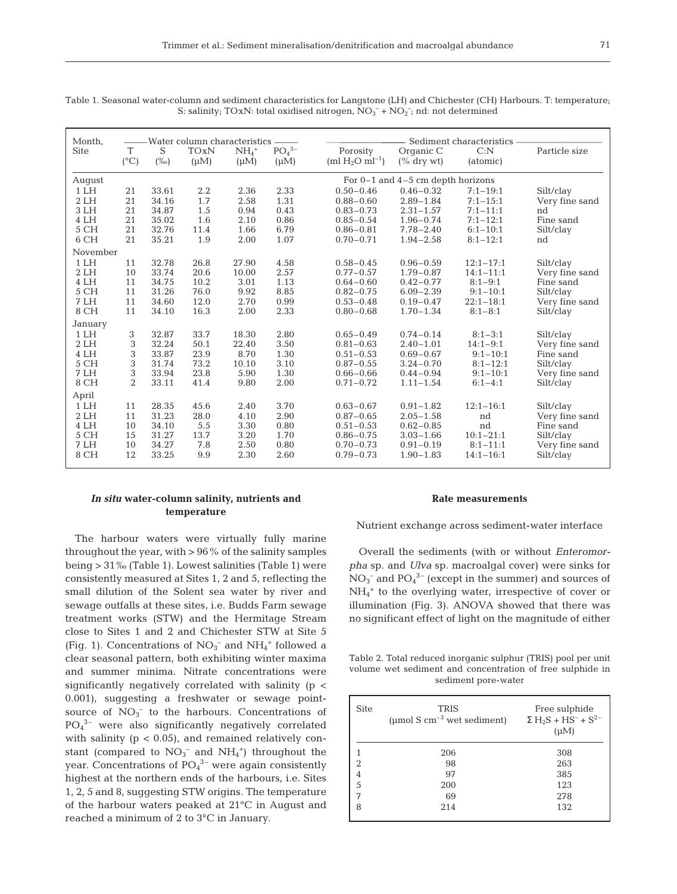| ۰, | u |
|----|---|

| Month,       | -Water column characteristics |                |             |              |              |                                       | Sediment characteristics       |                               |                             |  |
|--------------|-------------------------------|----------------|-------------|--------------|--------------|---------------------------------------|--------------------------------|-------------------------------|-----------------------------|--|
| <b>Site</b>  | T                             | S              | <b>TOxN</b> | $NH4+$       | $PO43-$      | Porosity                              | Organic C                      | C: N                          | Particle size               |  |
|              | $(^{\circ}C)$                 | $(\%0)$        | $(\mu M)$   | $(\mu M)$    | $(\mu M)$    | $(ml H_2O \text{ m}l^{-1})$           | $($ % dry wt $)$               | (atomic)                      |                             |  |
| August       |                               |                |             |              |              | For $0-1$ and $4-5$ cm depth horizons |                                |                               |                             |  |
| 1LH          | 21                            | 33.61          | 2.2         | 2.36         | 2.33         | $0.50 - 0.46$                         | $0.46 - 0.32$                  | $7:1 - 19:1$                  | Silt/clay                   |  |
| 2LH          | 21                            | 34.16          | 1.7         | 2.58         | 1.31         | $0.88 - 0.60$                         | $2.89 - 1.84$                  | $7:1 - 15:1$                  | Very fine sand              |  |
| 3LH          | 21                            | 34.87          | 1.5         | 0.94         | 0.43         | $0.83 - 0.73$                         | $2.31 - 1.57$                  | $7:1 - 11:1$                  | nd                          |  |
| 4 LH         | 21                            | 35.02          | 1.6         | 2.10         | 0.86         | $0.85 - 0.54$                         | $1.96 - 0.74$                  | $7:1 - 12:1$                  | Fine sand                   |  |
| 5 CH         | 21                            | 32.76          | 11.4        | 1.66         | 6.79         | $0.86 - 0.81$                         | $7.78 - 2.40$                  | $6:1 - 10:1$                  | Silt/clay                   |  |
| 6 CH         | 21                            | 35.21          | 1.9         | 2.00         | 1.07         | $0.70 - 0.71$                         | $1.94 - 2.58$                  | $8:1 - 12:1$                  | nd                          |  |
| November     |                               |                |             |              |              |                                       |                                |                               |                             |  |
| 1LH          | 11                            | 32.78          | 26.8        | 27.90        | 4.58         | $0.58 - 0.45$                         | $0.96 - 0.59$                  | $12:1 - 17:1$                 | Silt/clay                   |  |
| 2LH          | 10                            | 33.74          | 20.6        | 10.00        | 2.57         | $0.77 - 0.57$                         | $1.79 - 0.87$                  | $14:1 - 11:1$                 | Very fine sand              |  |
| 4 LH         | 11                            | 34.75          | 10.2        | 3.01         | 1.13         | $0.64 - 0.60$                         | $0.42 - 0.77$                  | $8:1 - 9:1$                   | Fine sand                   |  |
| 5 CH         | 11                            | 31.26          | 76.0        | 9.92         | 8.85         | $0.82 - 0.75$                         | $6.09 - 2.39$                  | $9:1 - 10:1$                  | Silt/clay                   |  |
| 7 LH         | 11                            | 34.60          | 12.0        | 2.70         | 0.99         | $0.53 - 0.48$                         | $0.19 - 0.47$                  | $22:1 - 18:1$                 | Very fine sand              |  |
| 8 CH         | 11                            | 34.10          | 16.3        | 2.00         | 2.33         | $0.80 - 0.68$                         | $1.70 - 1.34$                  | $8:1 - 8:1$                   | Silt/clay                   |  |
| January      |                               |                |             |              |              |                                       |                                |                               |                             |  |
| 1LH          | 3                             | 32.87          | 33.7        | 18.30        | 2.80         | $0.65 - 0.49$                         | $0.74 - 0.14$                  | $8:1 - 3:1$                   | Silt/clay                   |  |
| 2LH          | 3                             | 32.24          | 50.1        | 22.40        | 3.50         | $0.81 - 0.63$                         | $2.40 - 1.01$                  | $14:1 - 9:1$                  | Very fine sand              |  |
| 4 LH         | 3                             | 33.87          | 23.9        | 8.70         | 1.30         | $0.51 - 0.53$                         | $0.69 - 0.67$                  | $9:1 - 10:1$                  | Fine sand                   |  |
| 5 CH         | 3                             | 31.74          | 73.2        | 10.10        | 3.10         | $0.87 - 0.55$                         | $3.24 - 0.70$                  | $8:1 - 12:1$                  | Silt/clay                   |  |
| 7 LH         | 3<br>$\overline{2}$           | 33.94          | 23.8        | 5.90         | 1.30         | $0.66 - 0.66$                         | $0.44 - 0.94$                  | $9:1 - 10:1$                  | Very fine sand              |  |
| 8 CH         |                               | 33.11          | 41.4        | 9.80         | 2.00         | $0.71 - 0.72$                         | $1.11 - 1.54$                  | $6:1 - 4:1$                   | Silt/clay                   |  |
| April        |                               |                |             |              |              |                                       |                                |                               |                             |  |
| 1LH          | 11                            | 28.35          | 45.6        | 2.40         | 3.70         | $0.63 - 0.67$                         | $0.91 - 1.82$                  | $12:1 - 16:1$                 | Silt/clay                   |  |
| 2LH          | 11                            | 31.23          | 28.0        | 4.10         | 2.90         | $0.87 - 0.65$                         | $2.05 - 1.58$                  | nd                            | Very fine sand              |  |
| 4 LH         | 10                            | 34.10          | 5.5         | 3.30         | 0.80         | $0.51 - 0.53$                         | $0.62 - 0.85$                  | nd                            | Fine sand                   |  |
| 5 CH         | 15                            | 31.27          | 13.7        | 3.20         | 1.70         | $0.86 - 0.75$                         | $3.03 - 1.66$                  | $10:1 - 21:1$                 | Silt/clay                   |  |
| 7 LH<br>8 CH | 10<br>12                      | 34.27<br>33.25 | 7.8<br>9.9  | 2.50<br>2.30 | 0.80<br>2.60 | $0.70 - 0.73$<br>$0.79 - 0.73$        | $0.91 - 0.19$<br>$1.90 - 1.83$ | $8:1 - 11:1$<br>$14:1 - 16:1$ | Very fine sand<br>Silt/clay |  |
|              |                               |                |             |              |              |                                       |                                |                               |                             |  |

Table 1. Seasonal water-column and sediment characteristics for Langstone (LH) and Chichester (CH) Harbours. T: temperature; S: salinity; TOxN: total oxidised nitrogen,  $NO_3^- + NO_2^-$ ; nd: not determined

# *In situ* **water-column salinity, nutrients and temperature**

The harbour waters were virtually fully marine throughout the year, with  $> 96\%$  of the salinity samples being > 31‰ (Table 1). Lowest salinities (Table 1) were consistently measured at Sites 1, 2 and 5, reflecting the small dilution of the Solent sea water by river and sewage outfalls at these sites, i.e. Budds Farm sewage treatment works (STW) and the Hermitage Stream close to Sites 1 and 2 and Chichester STW at Site 5 (Fig. 1). Concentrations of  $NO<sub>3</sub><sup>-</sup>$  and  $NH<sub>4</sub><sup>+</sup>$  followed a clear seasonal pattern, both exhibiting winter maxima and summer minima. Nitrate concentrations were significantly negatively correlated with salinity (p < 0.001), suggesting a freshwater or sewage pointsource of  $NO<sub>3</sub><sup>-</sup>$  to the harbours. Concentrations of PO4 3– were also significantly negatively correlated with salinity  $(p < 0.05)$ , and remained relatively constant (compared to  $NO_3^-$  and  $NH_4^+$ ) throughout the year. Concentrations of  $PO_4^{\,3-}$  were again consistently highest at the northern ends of the harbours, i.e. Sites 1, 2, 5 and 8, suggesting STW origins. The temperature of the harbour waters peaked at 21°C in August and reached a minimum of 2 to 3°C in January.

## **Rate measurements**

Nutrient exchange across sediment-water interface

Overall the sediments (with or without *Enteromorpha* sp. and *Ulva* sp. macroalgal cover) were sinks for  $\mathrm{NO_3}^-$  and  $\mathrm{PO_4}^{3-}$  (except in the summer) and sources of NH4 <sup>+</sup> to the overlying water, irrespective of cover or illumination (Fig. 3). ANOVA showed that there was no significant effect of light on the magnitude of either

| Table 2. Total reduced inorganic sulphur (TRIS) pool per unit |
|---------------------------------------------------------------|
| volume wet sediment and concentration of free sulphide in     |
| sediment pore-water                                           |

| <b>Site</b>    | <b>TRIS</b><br>(µmol S $cm^{-3}$ wet sediment) | Free sulphide<br>$\Sigma$ H <sub>2</sub> S + HS <sup>-</sup> + S <sup>2-</sup><br>$(\mu M)$ |
|----------------|------------------------------------------------|---------------------------------------------------------------------------------------------|
|                | 206                                            | 308                                                                                         |
| $\overline{2}$ | 98                                             | 263                                                                                         |
| 4              | 97                                             | 385                                                                                         |
| 5              | 200                                            | 123                                                                                         |
| 7              | 69                                             | 278                                                                                         |
| 8              | 214                                            | 132                                                                                         |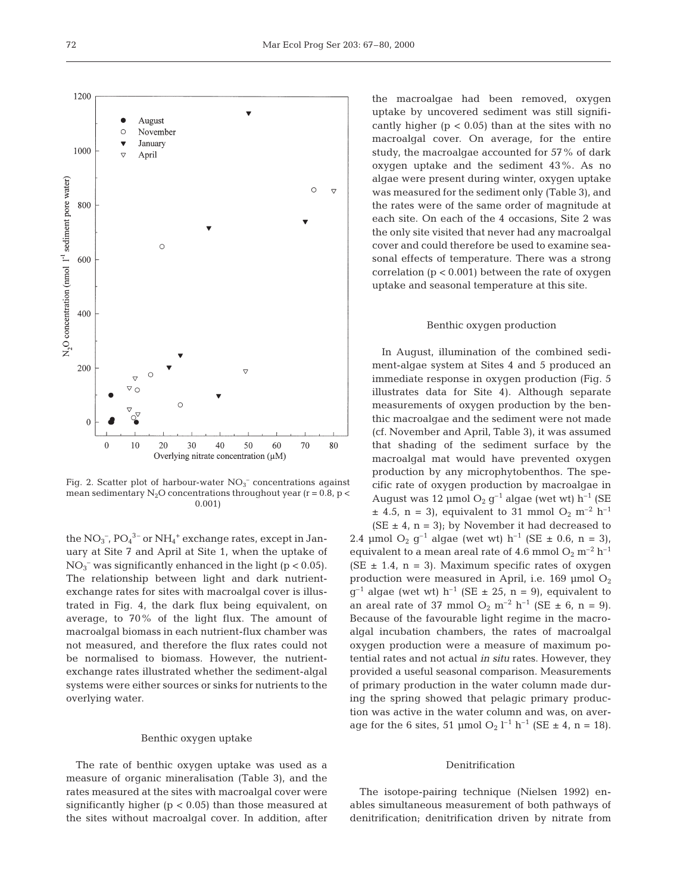

Fig. 2. Scatter plot of harbour-water  $NO<sub>3</sub><sup>-</sup>$  concentrations against mean sedimentary  $N_2O$  concentrations throughout year (r = 0.8, p < 0.001)

the  $\rm NO_3$ <sup>-</sup>,  $\rm PO_4$ <sup>3-</sup> or  $\rm NH_4^+$  exchange rates, except in January at Site 7 and April at Site 1, when the uptake of  $NO<sub>3</sub><sup>-</sup>$  was significantly enhanced in the light (p < 0.05). The relationship between light and dark nutrientexchange rates for sites with macroalgal cover is illustrated in Fig. 4, the dark flux being equivalent, on average, to 70% of the light flux. The amount of macroalgal biomass in each nutrient-flux chamber was not measured, and therefore the flux rates could not be normalised to biomass. However, the nutrientexchange rates illustrated whether the sediment-algal systems were either sources or sinks for nutrients to the overlying water.

#### Benthic oxygen uptake

The rate of benthic oxygen uptake was used as a measure of organic mineralisation (Table 3), and the rates measured at the sites with macroalgal cover were significantly higher ( $p < 0.05$ ) than those measured at the sites without macroalgal cover. In addition, after

the macroalgae had been removed, oxygen uptake by uncovered sediment was still significantly higher  $(p < 0.05)$  than at the sites with no macroalgal cover. On average, for the entire study, the macroalgae accounted for 57% of dark oxygen uptake and the sediment 43%. As no algae were present during winter, oxygen uptake was measured for the sediment only (Table 3), and the rates were of the same order of magnitude at each site. On each of the 4 occasions, Site 2 was the only site visited that never had any macroalgal cover and could therefore be used to examine seasonal effects of temperature. There was a strong correlation (p < 0.001) between the rate of oxygen uptake and seasonal temperature at this site.

#### Benthic oxygen production

In August, illumination of the combined sediment-algae system at Sites 4 and 5 produced an immediate response in oxygen production (Fig. 5 illustrates data for Site 4). Although separate measurements of oxygen production by the benthic macroalgae and the sediment were not made (cf. November and April, Table 3), it was assumed that shading of the sediment surface by the macroalgal mat would have prevented oxygen production by any microphytobenthos. The specific rate of oxygen production by macroalgae in August was 12 µmol  $O_2$  g<sup>-1</sup> algae (wet wt) h<sup>-1</sup> (SE  $\pm$  4.5, n = 3), equivalent to 31 mmol O<sub>2</sub> m<sup>-2</sup> h<sup>-1</sup>

 $(SE \pm 4, n = 3)$ ; by November it had decreased to 2.4 µmol O<sub>2</sub>  $q^{-1}$  algae (wet wt) h<sup>-1</sup> (SE  $\pm$  0.6, n = 3), equivalent to a mean areal rate of 4.6 mmol  $O_2$  m<sup>-2</sup> h<sup>-1</sup> (SE  $\pm$  1.4, n = 3). Maximum specific rates of oxygen production were measured in April, i.e.  $169 \text{ µmol O}_2$  $g^{-1}$  algae (wet wt) h<sup>-1</sup> (SE  $\pm$  25, n = 9), equivalent to an areal rate of 37 mmol  $O_2$  m<sup>-2</sup> h<sup>-1</sup> (SE  $\pm$  6, n = 9). Because of the favourable light regime in the macroalgal incubation chambers, the rates of macroalgal oxygen production were a measure of maximum potential rates and not actual *in situ* rates. However, they provided a useful seasonal comparison. Measurements of primary production in the water column made during the spring showed that pelagic primary production was active in the water column and was, on average for the 6 sites, 51 µmol  $O_2$   $l^{-1}$   $h^{-1}$  (SE  $\pm$  4, n = 18).

#### Denitrification

The isotope-pairing technique (Nielsen 1992) enables simultaneous measurement of both pathways of denitrification; denitrification driven by nitrate from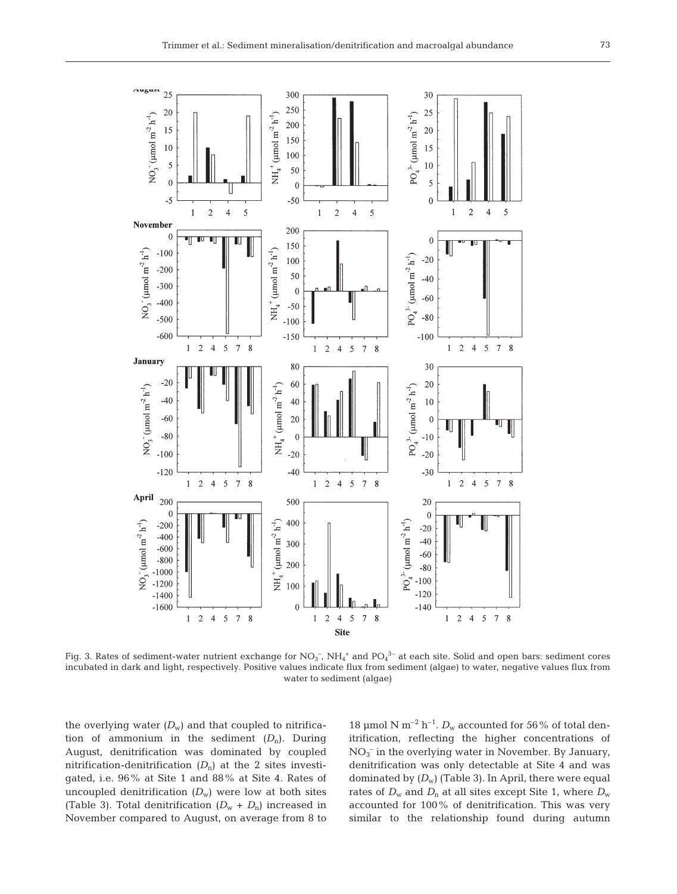

Fig. 3. Rates of sediment-water nutrient exchange for  $NO_3^-$ ,  $NH_4^+$  and  $PO_4^{3-}$  at each site. Solid and open bars: sediment cores incubated in dark and light, respectively. Positive values indicate flux from sediment (algae) to water, negative values flux from water to sediment (algae)

the overlying water  $(D_w)$  and that coupled to nitrification of ammonium in the sediment  $(D_n)$ . During August, denitrification was dominated by coupled nitrification-denitrification  $(D_n)$  at the 2 sites investigated, i.e. 96% at Site 1 and 88% at Site 4. Rates of uncoupled denitrification  $(D_w)$  were low at both sites (Table 3). Total denitrification  $(D_w + D_n)$  increased in November compared to August, on average from 8 to

18 µmol N m<sup>-2</sup> h<sup>-1</sup>.  $D_w$  accounted for 56% of total denitrification, reflecting the higher concentrations of NO3 – in the overlying water in November. By January, denitrification was only detectable at Site 4 and was dominated by  $(D_w)$  (Table 3). In April, there were equal rates of  $D_w$  and  $D_n$  at all sites except Site 1, where  $D_w$ accounted for 100% of denitrification. This was very similar to the relationship found during autumn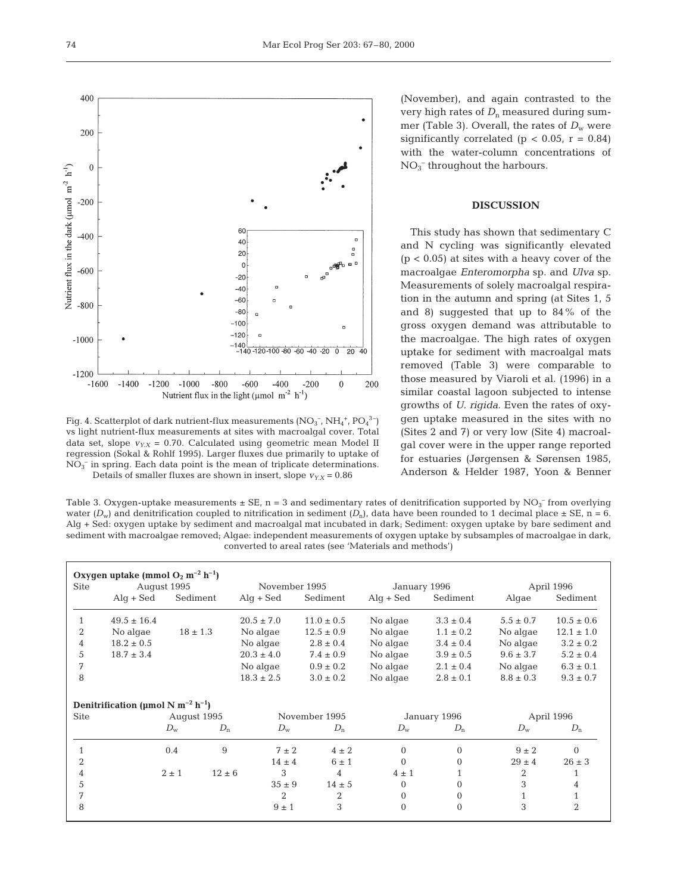400



Fig. 4. Scatterplot of dark nutrient-flux measurements (NO<sub>3</sub><sup>-</sup>, NH<sub>4</sub><sup>+</sup>, PO<sub>4</sub><sup>3-</sup>) vs light nutrient-flux measurements at sites with macroalgal cover. Total data set, slope  $v_{Y.X} = 0.70$ . Calculated using geometric mean Model II regression (Sokal & Rohlf 1995). Larger fluxes due primarily to uptake of  $NO<sub>3</sub><sup>-</sup>$  in spring. Each data point is the mean of triplicate determinations. Details of smaller fluxes are shown in insert, slope  $v_{YX} = 0.86$ 

(November), and again contrasted to the very high rates of  $D_n$  measured during summer (Table 3). Overall, the rates of  $D_w$  were significantly correlated ( $p < 0.05$ ,  $r = 0.84$ ) with the water-column concentrations of  $NO<sub>3</sub><sup>-</sup>$  throughout the harbours.

## **DISCUSSION**

This study has shown that sedimentary C and N cycling was significantly elevated  $(p < 0.05)$  at sites with a heavy cover of the macroalgae *Enteromorpha* sp. and *Ulva* sp. Measurements of solely macroalgal respiration in the autumn and spring (at Sites 1, 5 and 8) suggested that up to 84% of the gross oxygen demand was attributable to the macroalgae. The high rates of oxygen uptake for sediment with macroalgal mats removed (Table 3) were comparable to those measured by Viaroli et al. (1996) in a similar coastal lagoon subjected to intense growths of *U. rigida*. Even the rates of oxygen uptake measured in the sites with no (Sites 2 and 7) or very low (Site 4) macroalgal cover were in the upper range reported for estuaries (Jørgensen & Sørensen 1985, Anderson & Helder 1987, Yoon & Benner

Table 3. Oxygen-uptake measurements  $\pm$  SE, n = 3 and sedimentary rates of denitrification supported by NO<sub>3</sub><sup>-</sup> from overlying water  $(D_w)$  and denitrification coupled to nitrification in sediment  $(D_n)$ , data have been rounded to 1 decimal place  $\pm$  SE, n = 6. Alg + Sed: oxygen uptake by sediment and macroalgal mat incubated in dark; Sediment: oxygen uptake by bare sediment and sediment with macroalgae removed; Algae: independent measurements of oxygen uptake by subsamples of macroalgae in dark, converted to areal rates (see 'Materials and methods')

|                | Oxygen uptake (mmol $O_2$ m <sup>-2</sup> h <sup>-1</sup> ) |              |            |                           |                |                           |                |                |                |
|----------------|-------------------------------------------------------------|--------------|------------|---------------------------|----------------|---------------------------|----------------|----------------|----------------|
| <b>Site</b>    |                                                             | August 1995  |            | November 1995             |                | January 1996              |                | April 1996     |                |
|                | $\mathrm{Alg} + \mathrm{Sed}$                               | Sediment     |            | $\text{Alq} + \text{Sed}$ | Sediment       | $\text{Alq} + \text{Sed}$ | Sediment       | Algae          | Sediment       |
|                | $49.5 \pm 16.4$                                             |              |            | $20.5 \pm 7.0$            | $11.0 \pm 0.5$ | No algae                  | $3.3 \pm 0.4$  | $5.5 \pm 0.7$  | $10.5 \pm 0.6$ |
| $\overline{2}$ | No algae                                                    | $18 \pm 1.3$ |            | No algae                  | $12.5 \pm 0.9$ | No algae                  | $1.1 \pm 0.2$  | No algae       | $12.1 \pm 1.0$ |
| 4              | $18.2 \pm 0.5$                                              |              |            | No algae                  | $2.8 \pm 0.4$  | No algae                  | $3.4 \pm 0.4$  | No algae       | $3.2 \pm 0.2$  |
| 5              | $18.7 \pm 3.4$                                              |              |            | $20.3 \pm 4.0$            | $7.4 \pm 0.9$  | No algae                  | $3.9 \pm 0.5$  | $9.6 \pm 3.7$  | $5.2 \pm 0.4$  |
| 7              |                                                             |              |            | No algae                  | $0.9 \pm 0.2$  | No algae                  | $2.1 \pm 0.4$  | No algae       | $6.3 \pm 0.1$  |
| 8              |                                                             |              |            | $18.3 \pm 2.5$            | $3.0 \pm 0.2$  | No algae                  | $2.8 \pm 0.1$  | $8.8 \pm 0.3$  | $9.3 \pm 0.7$  |
|                | Denitrification (µmol N m <sup>-2</sup> h <sup>-1</sup> )   |              |            |                           |                |                           |                |                |                |
| <b>Site</b>    |                                                             | August 1995  |            |                           | November 1995  |                           | January 1996   |                | April 1996     |
|                |                                                             | $D_{\rm w}$  | $D_n$      | $D_{\rm w}$               | $D_n$          | $D_{\rm w}$               | $D_n$          | $D_{\rm w}$    | $D_n$          |
|                |                                                             | 0.4          | 9          | $7 \pm 2$                 | $4 \pm 2$      | $\mathbf{0}$              | $\overline{0}$ | $9 \pm 2$      | $\overline{0}$ |
| $\overline{2}$ |                                                             |              |            | $14 \pm 4$                | $6 \pm 1$      | $\mathbf{0}$              | $\overline{0}$ | $29 \pm 4$     | $26 \pm 3$     |
| 4              |                                                             | $2 \pm 1$    | $12 \pm 6$ | 3                         | $\overline{4}$ | $4 \pm 1$                 |                | $\overline{2}$ |                |
| 5              |                                                             |              |            | $35 \pm 9$                | $14 \pm 5$     | $\Omega$                  | $\Omega$       | 3              | 4              |
| 7              |                                                             |              |            | 2                         | $\overline{2}$ | $\mathbf{0}$              | $\overline{0}$ |                | $\mathbf{1}$   |
| 8              |                                                             |              |            | $9 \pm 1$                 | 3              | $\Omega$                  | $\Omega$       | 3              | $\overline{2}$ |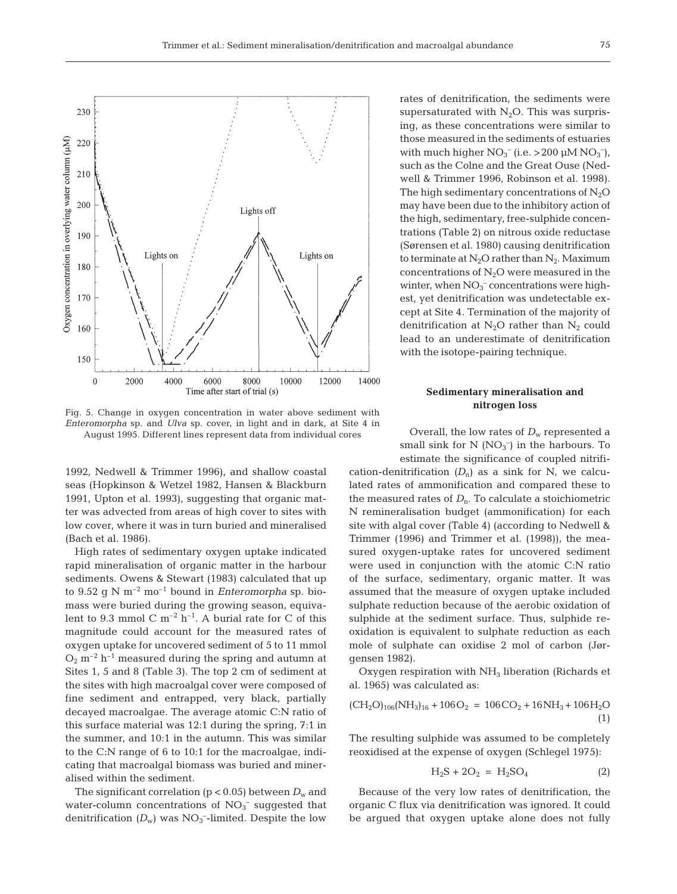

Fig. 5. Change in oxygen concentration in water above sediment with *Enteromorpha* sp. and *Ulva* sp. cover, in light and in dark, at Site 4 in August 1995. Different lines represent data from individual cores

1992, Nedwell & Trimmer 1996), and shallow coastal seas (Hopkinson & Wetzel 1982, Hansen & Blackburn 1991, Upton et al. 1993), suggesting that organic matter was advected from areas of high cover to sites with low cover, where it was in turn buried and mineralised (Bach et al. 1986).

High rates of sedimentary oxygen uptake indicated rapid mineralisation of organic matter in the harbour sediments. Owens & Stewart (1983) calculated that up to 9.52 g N  $m^{-2}$  mo<sup>-1</sup> bound in *Enteromorpha* sp. biomass were buried during the growing season, equivalent to 9.3 mmol C  $m^{-2}$  h<sup>-1</sup>. A burial rate for C of this magnitude could account for the measured rates of oxygen uptake for uncovered sediment of 5 to 11 mmol  $O_2$  m<sup>-2</sup> h<sup>-1</sup> measured during the spring and autumn at Sites 1, 5 and 8 (Table 3). The top 2 cm of sediment at the sites with high macroalgal cover were composed of fine sediment and entrapped, very black, partially decayed macroalgae. The average atomic C:N ratio of this surface material was 12:1 during the spring, 7:1 in the summer, and 10:1 in the autumn. This was similar to the C:N range of 6 to 10:1 for the macroalgae, indicating that macroalgal biomass was buried and mineralised within the sediment.

The significant correlation ( $p < 0.05$ ) between  $D_w$  and water-column concentrations of  $NO<sub>3</sub><sup>-</sup>$  suggested that denitrification  $(D_w)$  was  $NO_3^-$ -limited. Despite the low

rates of denitrification, the sediments were supersaturated with  $N_2O$ . This was surprising, as these concentrations were similar to those measured in the sediments of estuaries with much higher  $NO_3^-$  (i.e. > 200  $\mu$ M  $NO_3^-$ ), such as the Colne and the Great Ouse (Nedwell & Trimmer 1996, Robinson et al. 1998). The high sedimentary concentrations of  $N_2O$ may have been due to the inhibitory action of the high, sedimentary, free-sulphide concentrations (Table 2) on nitrous oxide reductase (Sørensen et al. 1980) causing denitrification to terminate at  $N_2O$  rather than  $N_2$ . Maximum concentrations of  $N_2O$  were measured in the winter, when  $NO_3^-$  concentrations were highest, yet denitrification was undetectable except at Site 4. Termination of the majority of denitrification at  $N_2$ O rather than  $N_2$  could lead to an underestimate of denitrification with the isotope-pairing technique.

## **Sedimentary mineralisation and nitrogen loss**

Overall, the low rates of  $D_w$  represented a small sink for  $N(NO_3^-)$  in the harbours. To estimate the significance of coupled nitrifi-

cation-denitrification  $(D_n)$  as a sink for N, we calculated rates of ammonification and compared these to the measured rates of  $D_n$ . To calculate a stoichiometric N remineralisation budget (ammonification) for each site with algal cover (Table 4) (according to Nedwell & Trimmer (1996) and Trimmer et al. (1998)), the measured oxygen-uptake rates for uncovered sediment were used in conjunction with the atomic C:N ratio of the surface, sedimentary, organic matter. It was assumed that the measure of oxygen uptake included sulphate reduction because of the aerobic oxidation of sulphide at the sediment surface. Thus, sulphide reoxidation is equivalent to sulphate reduction as each mole of sulphate can oxidise 2 mol of carbon (Jørgensen 1982).

Oxygen respiration with  $NH<sub>3</sub>$  liberation (Richards et al. 1965) was calculated as:

$$
(\text{CH}_2\text{O})_{106}(\text{NH}_3)_{16} + 106\text{O}_2 = 106\text{CO}_2 + 16\text{NH}_3 + 106\text{H}_2\text{O}
$$
\n
$$
(1)
$$

The resulting sulphide was assumed to be completely reoxidised at the expense of oxygen (Schlegel 1975):

$$
H_2S + 2O_2 = H_2SO_4 \tag{2}
$$

Because of the very low rates of denitrification, the organic C flux via denitrification was ignored. It could be argued that oxygen uptake alone does not fully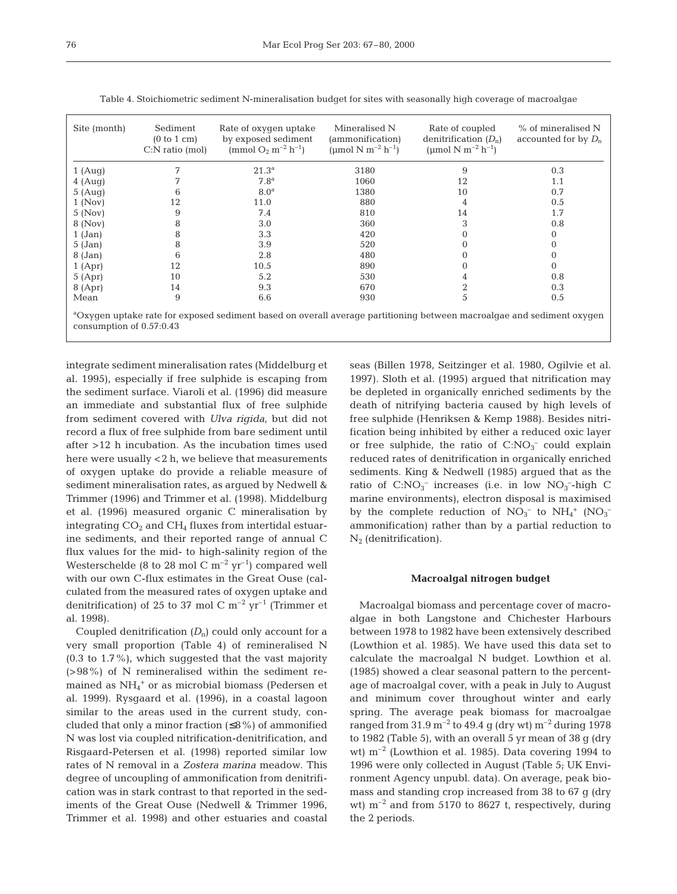| Site (month)                                                                                                                                                  | Sediment<br>(0 to 1 cm)<br>$C:$ N ratio (mol) | Rate of oxygen uptake<br>by exposed sediment<br>(mmol $O_2$ m <sup>-2</sup> h <sup>-1</sup> ) | Mineralised N<br>(ammonification)<br>(umol N m <sup>-2</sup> h <sup>-1</sup> ) | Rate of coupled<br>denitrification $(D_n)$<br>(umol N m <sup>-2</sup> h <sup>-1</sup> ) | % of mineralised N<br>accounted for by $D_n$ |  |
|---------------------------------------------------------------------------------------------------------------------------------------------------------------|-----------------------------------------------|-----------------------------------------------------------------------------------------------|--------------------------------------------------------------------------------|-----------------------------------------------------------------------------------------|----------------------------------------------|--|
| 1(Auq)                                                                                                                                                        |                                               | $21.3^{\rm a}$                                                                                | 3180                                                                           | 9                                                                                       | 0.3                                          |  |
| $4 \text{ (Aug)}$                                                                                                                                             |                                               | 7.8 <sup>a</sup>                                                                              | 1060                                                                           | 12                                                                                      | 1.1                                          |  |
| 5(Auq)                                                                                                                                                        | 6                                             | 8.0 <sup>a</sup>                                                                              | 1380                                                                           | 10                                                                                      | 0.7                                          |  |
| $1$ (Nov)                                                                                                                                                     | 12                                            | 11.0                                                                                          | 880                                                                            | 4                                                                                       | 0.5                                          |  |
| $5$ (Nov)                                                                                                                                                     | 9                                             | 7.4                                                                                           | 810                                                                            | 14                                                                                      | 1.7                                          |  |
| $8$ (Nov)                                                                                                                                                     | 8                                             | 3.0                                                                                           | 360                                                                            | 3                                                                                       | 0.8                                          |  |
| $1$ (Jan)                                                                                                                                                     | 8                                             | 3.3                                                                                           | 420                                                                            | $\Omega$                                                                                | 0                                            |  |
| $5$ (Jan)                                                                                                                                                     | 8                                             | 3.9                                                                                           | 520                                                                            | $\Omega$                                                                                |                                              |  |
| $8$ (Jan)                                                                                                                                                     | 6                                             | 2.8                                                                                           | 480                                                                            | $\Omega$                                                                                |                                              |  |
| 1(Apr)                                                                                                                                                        | 12                                            | 10.5                                                                                          | 890                                                                            | $\Omega$                                                                                | 0                                            |  |
| 5(Apr)                                                                                                                                                        | 10                                            | 5.2                                                                                           | 530                                                                            |                                                                                         | 0.8                                          |  |
| 8(Apr)                                                                                                                                                        | 14                                            | 9.3                                                                                           | 670                                                                            | 2                                                                                       | 0.3                                          |  |
| Mean                                                                                                                                                          | 9                                             | 6.6                                                                                           | 930                                                                            | 5                                                                                       | 0.5                                          |  |
| <sup>a</sup> Oxygen uptake rate for exposed sediment based on overall average partitioning between macroalgae and sediment oxygen<br>consumption of 0.57:0.43 |                                               |                                                                                               |                                                                                |                                                                                         |                                              |  |

Table 4. Stoichiometric sediment N-mineralisation budget for sites with seasonally high coverage of macroalgae

integrate sediment mineralisation rates (Middelburg et al. 1995), especially if free sulphide is escaping from the sediment surface. Viaroli et al. (1996) did measure an immediate and substantial flux of free sulphide from sediment covered with *Ulva rigida*, but did not record a flux of free sulphide from bare sediment until after >12 h incubation. As the incubation times used here were usually <2 h, we believe that measurements of oxygen uptake do provide a reliable measure of sediment mineralisation rates, as argued by Nedwell & Trimmer (1996) and Trimmer et al. (1998). Middelburg et al. (1996) measured organic C mineralisation by integrating  $CO<sub>2</sub>$  and  $CH<sub>4</sub>$  fluxes from intertidal estuarine sediments, and their reported range of annual C flux values for the mid- to high-salinity region of the Westerschelde (8 to 28 mol C  $m^{-2}$  yr<sup>-1</sup>) compared well with our own C-flux estimates in the Great Ouse (calculated from the measured rates of oxygen uptake and denitrification) of 25 to 37 mol C  $m^{-2}$  yr<sup>-1</sup> (Trimmer et al. 1998).

Coupled denitrification  $(D_n)$  could only account for a very small proportion (Table 4) of remineralised N (0.3 to 1.7%), which suggested that the vast majority (>98%) of N remineralised within the sediment remained as NH4 <sup>+</sup> or as microbial biomass (Pedersen et al. 1999). Rysgaard et al. (1996), in a coastal lagoon similar to the areas used in the current study, concluded that only a minor fraction  $(≤8%)$  of ammonified N was lost via coupled nitrification-denitrification, and Risgaard-Petersen et al. (1998) reported similar low rates of N removal in a *Zostera marina* meadow. This degree of uncoupling of ammonification from denitrification was in stark contrast to that reported in the sediments of the Great Ouse (Nedwell & Trimmer 1996, Trimmer et al. 1998) and other estuaries and coastal

seas (Billen 1978, Seitzinger et al. 1980, Ogilvie et al. 1997). Sloth et al. (1995) argued that nitrification may be depleted in organically enriched sediments by the death of nitrifying bacteria caused by high levels of free sulphide (Henriksen & Kemp 1988). Besides nitrification being inhibited by either a reduced oxic layer or free sulphide, the ratio of  $C:NO<sub>3</sub><sup>-</sup>$  could explain reduced rates of denitrification in organically enriched sediments. King & Nedwell (1985) argued that as the ratio of C:NO<sub>3</sub><sup>-</sup> increases (i.e. in low NO<sub>3</sub><sup>-</sup>-high C marine environments), electron disposal is maximised by the complete reduction of  $NO_3^-$  to  $NH_4^+$  ( $NO_3^$ ammonification) rather than by a partial reduction to  $N_2$  (denitrification).

# **Macroalgal nitrogen budget**

Macroalgal biomass and percentage cover of macroalgae in both Langstone and Chichester Harbours between 1978 to 1982 have been extensively described (Lowthion et al. 1985). We have used this data set to calculate the macroalgal N budget. Lowthion et al. (1985) showed a clear seasonal pattern to the percentage of macroalgal cover, with a peak in July to August and minimum cover throughout winter and early spring. The average peak biomass for macroalgae ranged from  $31.9 \text{ m}^{-2}$  to  $49.4 \text{ g (dry wt)} \text{ m}^{-2}$  during 1978 to 1982 (Table 5), with an overall 5 yr mean of 38 g (dry wt)  $m^{-2}$  (Lowthion et al. 1985). Data covering 1994 to 1996 were only collected in August (Table 5; UK Environment Agency unpubl. data). On average, peak biomass and standing crop increased from 38 to 67 g (dry wt)  $m^{-2}$  and from 5170 to 8627 t, respectively, during the 2 periods.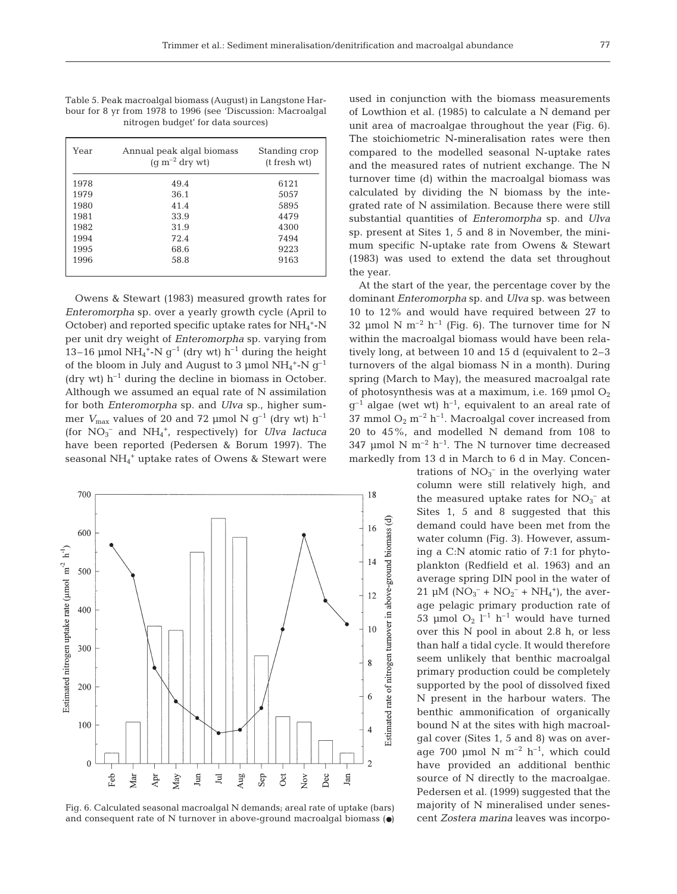Table 5. Peak macroalgal biomass (August) in Langstone Harbour for 8 yr from 1978 to 1996 (see 'Discussion: Macroalgal nitrogen budget' for data sources)

| Year | Annual peak algal biomass<br>$(q m^{-2}$ dry wt | Standing crop<br>(t fresh wt) |
|------|-------------------------------------------------|-------------------------------|
| 1978 | 49.4                                            | 6121                          |
| 1979 | 36.1                                            | 5057                          |
| 1980 | 41.4                                            | 5895                          |
| 1981 | 33.9                                            | 4479                          |
| 1982 | 31.9                                            | 4300                          |
| 1994 | 72.4                                            | 7494                          |
| 1995 | 68.6                                            | 9223                          |
| 1996 | 58.8                                            | 9163                          |
|      |                                                 |                               |

Owens & Stewart (1983) measured growth rates for *Enteromorpha* sp. over a yearly growth cycle (April to October) and reported specific uptake rates for NH<sub>4</sub><sup>+</sup>-N per unit dry weight of *Enteromorpha* sp. varying from 13–16 µmol NH<sub>4</sub><sup>+</sup>-N  $g^{-1}$  (dry wt) h<sup>-1</sup> during the height of the bloom in July and August to 3  $\mu$ mol NH<sub>4</sub><sup>+</sup>-N  $g^{-1}$ (dry wt)  $h^{-1}$  during the decline in biomass in October. Although we assumed an equal rate of N assimilation for both *Enteromorpha* sp. and *Ulva* sp., higher summer  $V_{\text{max}}$  values of 20 and 72 µmol N  $g^{-1}$  (dry wt)  $h^{-1}$ (for NO3 – and NH4 +, respectively) for *Ulva lactuca* have been reported (Pedersen & Borum 1997). The seasonal NH<sub>4</sub><sup>+</sup> uptake rates of Owens & Stewart were



Fig. 6. Calculated seasonal macroalgal N demands; areal rate of uptake (bars) and consequent rate of N turnover in above-ground macroalgal biomass  $\left( \bullet \right)$ 

used in conjunction with the biomass measurements of Lowthion et al. (1985) to calculate a N demand per unit area of macroalgae throughout the year (Fig. 6). The stoichiometric N-mineralisation rates were then compared to the modelled seasonal N-uptake rates and the measured rates of nutrient exchange. The N turnover time (d) within the macroalgal biomass was calculated by dividing the N biomass by the integrated rate of N assimilation. Because there were still substantial quantities of *Enteromorpha* sp. and *Ulva* sp. present at Sites 1, 5 and 8 in November, the minimum specific N-uptake rate from Owens & Stewart (1983) was used to extend the data set throughout the year.

At the start of the year, the percentage cover by the dominant *Enteromorpha* sp. and *Ulva* sp. was between 10 to 12% and would have required between 27 to 32 µmol N m<sup>-2</sup> h<sup>-1</sup> (Fig. 6). The turnover time for N within the macroalgal biomass would have been relatively long, at between 10 and 15 d (equivalent to 2–3 turnovers of the algal biomass N in a month). During spring (March to May), the measured macroalgal rate of photosynthesis was at a maximum, i.e. 169  $\mu$ mol O<sub>2</sub>  $g^{-1}$  algae (wet wt) h<sup>-1</sup>, equivalent to an areal rate of 37 mmol  $O_2$  m<sup>-2</sup> h<sup>-1</sup>. Macroalgal cover increased from 20 to 45%, and modelled N demand from 108 to 347 µmol N  $m^{-2}$  h<sup>-1</sup>. The N turnover time decreased markedly from 13 d in March to 6 d in May. Concen-

trations of  $NO<sub>3</sub><sup>-</sup>$  in the overlying water column were still relatively high, and the measured uptake rates for  $NO<sub>3</sub><sup>-</sup>$  at Sites 1, 5 and 8 suggested that this demand could have been met from the water column (Fig. 3). However, assuming a C:N atomic ratio of 7:1 for phytoplankton (Redfield et al. 1963) and an average spring DIN pool in the water of  $21 \mu M (NO<sub>3</sub><sup>-</sup> + NO<sub>2</sub><sup>-</sup> + NH<sub>4</sub><sup>+</sup>),$  the average pelagic primary production rate of 53 µmol  $O_2$   $l^{-1}$   $h^{-1}$  would have turned over this N pool in about 2.8 h, or less than half a tidal cycle. It would therefore seem unlikely that benthic macroalgal primary production could be completely supported by the pool of dissolved fixed N present in the harbour waters. The benthic ammonification of organically bound N at the sites with high macroalgal cover (Sites 1, 5 and 8) was on average 700 µmol N  $m^{-2}$  h<sup>-1</sup>, which could have provided an additional benthic source of N directly to the macroalgae. Pedersen et al. (1999) suggested that the majority of N mineralised under senescent *Zostera marina* leaves was incorpo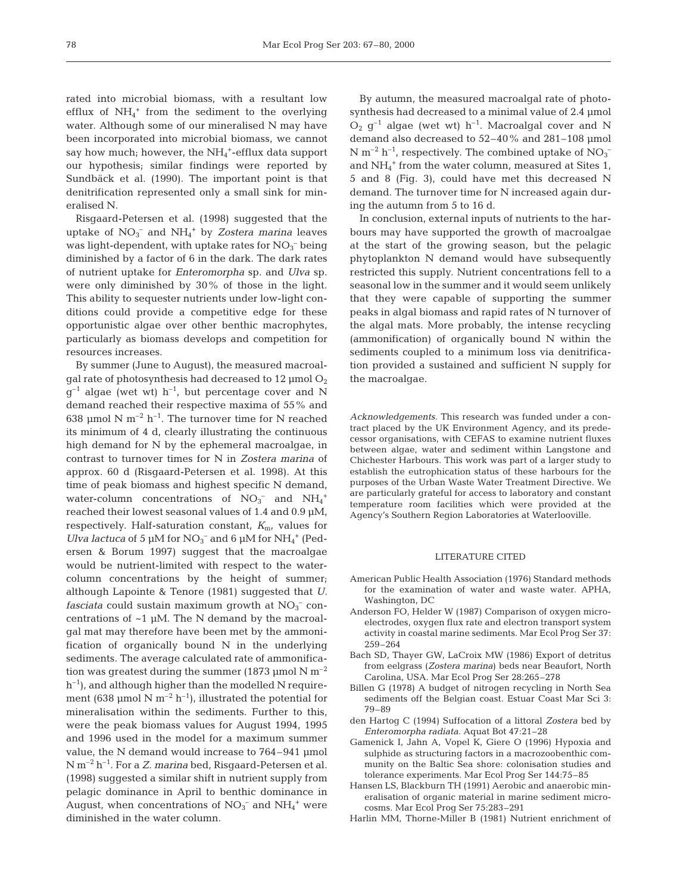rated into microbial biomass, with a resultant low efflux of  $NH_4$ <sup>+</sup> from the sediment to the overlying water. Although some of our mineralised N may have been incorporated into microbial biomass, we cannot say how much; however, the NH<sub>4</sub><sup>+</sup>-efflux data support our hypothesis; similar findings were reported by Sundbäck et al. (1990). The important point is that denitrification represented only a small sink for mineralised N.

Risgaard-Petersen et al. (1998) suggested that the uptake of NO<sub>3</sub><sup>-</sup> and NH<sub>4</sub><sup>+</sup> by *Zostera marina* leaves was light-dependent, with uptake rates for  $NO_3^-$  being diminished by a factor of 6 in the dark. The dark rates of nutrient uptake for *Enteromorpha* sp. and *Ulva* sp. were only diminished by 30% of those in the light. This ability to sequester nutrients under low-light conditions could provide a competitive edge for these opportunistic algae over other benthic macrophytes, particularly as biomass develops and competition for resources increases.

By summer (June to August), the measured macroalgal rate of photosynthesis had decreased to  $12 \mu$ mol  $O<sub>2</sub>$  $q^{-1}$  algae (wet wt) h<sup>-1</sup>, but percentage cover and N demand reached their respective maxima of 55% and 638 µmol N  $m^{-2}$  h<sup>-1</sup>. The turnover time for N reached its minimum of 4 d, clearly illustrating the continuous high demand for N by the ephemeral macroalgae, in contrast to turnover times for N in *Zostera marina* of approx. 60 d (Risgaard-Petersen et al. 1998). At this time of peak biomass and highest specific N demand, water-column concentrations of  $NO<sub>3</sub><sup>-</sup>$  and  $NH<sub>4</sub><sup>+</sup>$ reached their lowest seasonal values of 1.4 and 0.9 µM, respectively. Half-saturation constant,  $K_{\text{m}}$ , values for *Ulva lactuca* of 5  $\mu$ M for NO<sub>3</sub><sup>-</sup> and 6  $\mu$ M for NH<sub>4</sub><sup>+</sup> (Pedersen & Borum 1997) suggest that the macroalgae would be nutrient-limited with respect to the watercolumn concentrations by the height of summer; although Lapointe & Tenore (1981) suggested that *U.*  $fasciata$  could sustain maximum growth at  $NO<sub>3</sub><sup>-</sup>$  concentrations of ~1 µM. The N demand by the macroalgal mat may therefore have been met by the ammonification of organically bound N in the underlying sediments. The average calculated rate of ammonification was greatest during the summer (1873 µmol N  $m^{-2}$  $h^{-1}$ ), and although higher than the modelled N requirement (638 µmol N m<sup>-2</sup> h<sup>-1</sup>), illustrated the potential for mineralisation within the sediments. Further to this, were the peak biomass values for August 1994, 1995 and 1996 used in the model for a maximum summer value, the N demand would increase to 764–941 µmol N m–2 h–1. For a *Z. marina* bed, Risgaard-Petersen et al. (1998) suggested a similar shift in nutrient supply from pelagic dominance in April to benthic dominance in August, when concentrations of  $NO<sub>3</sub><sup>-</sup>$  and  $NH<sub>4</sub><sup>+</sup>$  were diminished in the water column.

By autumn, the measured macroalgal rate of photosynthesis had decreased to a minimal value of 2.4 µmol  $O_2$  g<sup>-1</sup> algae (wet wt) h<sup>-1</sup>. Macroalgal cover and N demand also decreased to 52–40% and 281–108 µmol  $N$   $\mathrm{m}^{-2}$   $\mathrm{h}^{-1}$ , respectively. The combined uptake of  $\mathrm{NO_3}^$ and NH4 <sup>+</sup> from the water column, measured at Sites 1, 5 and 8 (Fig. 3), could have met this decreased N demand. The turnover time for N increased again during the autumn from 5 to 16 d.

In conclusion, external inputs of nutrients to the harbours may have supported the growth of macroalgae at the start of the growing season, but the pelagic phytoplankton N demand would have subsequently restricted this supply. Nutrient concentrations fell to a seasonal low in the summer and it would seem unlikely that they were capable of supporting the summer peaks in algal biomass and rapid rates of N turnover of the algal mats. More probably, the intense recycling (ammonification) of organically bound N within the sediments coupled to a minimum loss via denitrification provided a sustained and sufficient N supply for the macroalgae.

*Acknowledgements.* This research was funded under a contract placed by the UK Environment Agency, and its predecessor organisations, with CEFAS to examine nutrient fluxes between algae, water and sediment within Langstone and Chichester Harbours. This work was part of a larger study to establish the eutrophication status of these harbours for the purposes of the Urban Waste Water Treatment Directive. We are particularly grateful for access to laboratory and constant temperature room facilities which were provided at the Agency's Southern Region Laboratories at Waterlooville.

#### LITERATURE CITED

- American Public Health Association (1976) Standard methods for the examination of water and waste water. APHA, Washington, DC
- Anderson FO, Helder W (1987) Comparison of oxygen microelectrodes, oxygen flux rate and electron transport system activity in coastal marine sediments. Mar Ecol Prog Ser 37: 259–264
- Bach SD, Thayer GW, LaCroix MW (1986) Export of detritus from eelgrass (*Zostera marina*) beds near Beaufort, North Carolina, USA. Mar Ecol Prog Ser 28:265–278
- Billen G (1978) A budget of nitrogen recycling in North Sea sediments off the Belgian coast. Estuar Coast Mar Sci 3: 79–89
- den Hartog C (1994) Suffocation of a littoral *Zostera* bed by *Enteromorpha radiata*. Aquat Bot 47:21–28
- Gamenick I, Jahn A, Vopel K, Giere O (1996) Hypoxia and sulphide as structuring factors in a macrozoobenthic community on the Baltic Sea shore: colonisation studies and tolerance experiments. Mar Ecol Prog Ser 144:75–85
- Hansen LS, Blackburn TH (1991) Aerobic and anaerobic mineralisation of organic material in marine sediment microcosms. Mar Ecol Prog Ser 75:283–291
- Harlin MM, Thorne-Miller B (1981) Nutrient enrichment of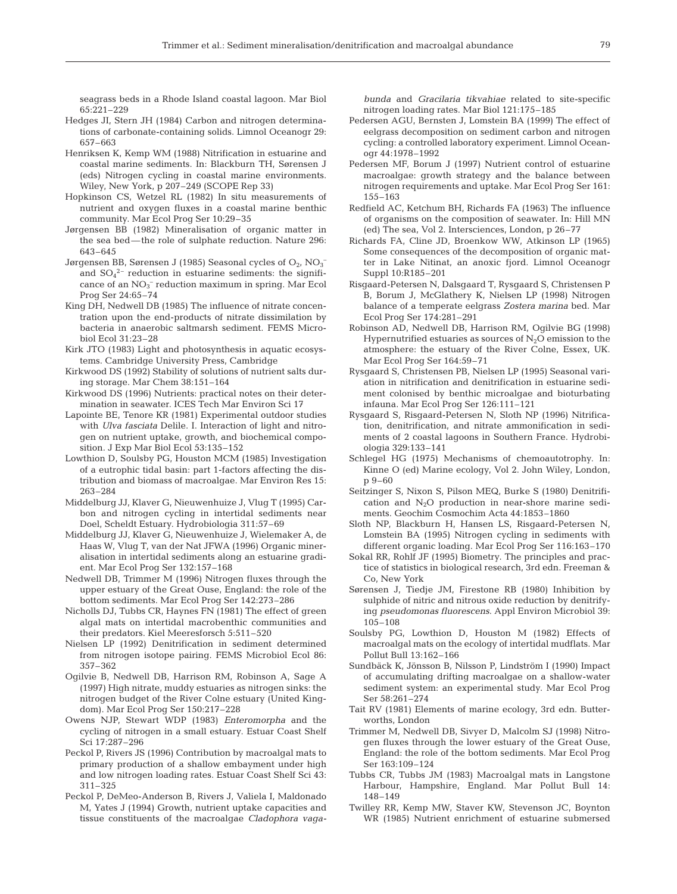seagrass beds in a Rhode Island coastal lagoon. Mar Biol 65:221–229

- Hedges JI, Stern JH (1984) Carbon and nitrogen determinations of carbonate-containing solids. Limnol Oceanogr 29: 657–663
- Henriksen K, Kemp WM (1988) Nitrification in estuarine and coastal marine sediments. In: Blackburn TH, Sørensen J (eds) Nitrogen cycling in coastal marine environments. Wiley, New York, p 207–249 (SCOPE Rep 33)
- Hopkinson CS, Wetzel RL (1982) In situ measurements of nutrient and oxygen fluxes in a coastal marine benthic community. Mar Ecol Prog Ser 10:29–35
- Jørgensen BB (1982) Mineralisation of organic matter in the sea bed—the role of sulphate reduction. Nature 296: 643–645
- Jørgensen BB, Sørensen J (1985) Seasonal cycles of  $O_2$ ,  $NO_3^$ and  $SO_4^2$ <sup>-</sup> reduction in estuarine sediments: the significance of an  $NO<sub>3</sub><sup>-</sup>$  reduction maximum in spring. Mar Ecol Prog Ser 24:65–74
- King DH, Nedwell DB (1985) The influence of nitrate concentration upon the end-products of nitrate dissimilation by bacteria in anaerobic saltmarsh sediment. FEMS Microbiol Ecol 31:23–28
- Kirk JTO (1983) Light and photosynthesis in aquatic ecosystems. Cambridge University Press, Cambridge
- Kirkwood DS (1992) Stability of solutions of nutrient salts during storage. Mar Chem 38:151–164
- Kirkwood DS (1996) Nutrients: practical notes on their determination in seawater. ICES Tech Mar Environ Sci 17
- Lapointe BE, Tenore KR (1981) Experimental outdoor studies with *Ulva fasciata* Delile. I. Interaction of light and nitrogen on nutrient uptake, growth, and biochemical composition. J Exp Mar Biol Ecol 53:135–152
- Lowthion D, Soulsby PG, Houston MCM (1985) Investigation of a eutrophic tidal basin: part 1-factors affecting the distribution and biomass of macroalgae. Mar Environ Res 15: 263–284
- Middelburg JJ, Klaver G, Nieuwenhuize J, Vlug T (1995) Carbon and nitrogen cycling in intertidal sediments near Doel, Scheldt Estuary. Hydrobiologia 311:57–69
- Middelburg JJ, Klaver G, Nieuwenhuize J, Wielemaker A, de Haas W, Vlug T, van der Nat JFWA (1996) Organic mineralisation in intertidal sediments along an estuarine gradient. Mar Ecol Prog Ser 132:157–168
- Nedwell DB, Trimmer M (1996) Nitrogen fluxes through the upper estuary of the Great Ouse, England: the role of the bottom sediments. Mar Ecol Prog Ser 142:273–286
- Nicholls DJ, Tubbs CR, Haynes FN (1981) The effect of green algal mats on intertidal macrobenthic communities and their predators. Kiel Meeresforsch 5:511–520
- Nielsen LP (1992) Denitrification in sediment determined from nitrogen isotope pairing. FEMS Microbiol Ecol 86: 357–362
- Ogilvie B, Nedwell DB, Harrison RM, Robinson A, Sage A (1997) High nitrate, muddy estuaries as nitrogen sinks: the nitrogen budget of the River Colne estuary (United Kingdom). Mar Ecol Prog Ser 150:217–228
- Owens NJP, Stewart WDP (1983) *Enteromorpha* and the cycling of nitrogen in a small estuary. Estuar Coast Shelf Sci 17:287–296
- Peckol P, Rivers JS (1996) Contribution by macroalgal mats to primary production of a shallow embayment under high and low nitrogen loading rates. Estuar Coast Shelf Sci 43: 311–325
- Peckol P, DeMeo-Anderson B, Rivers J, Valiela I, Maldonado M, Yates J (1994) Growth, nutrient uptake capacities and tissue constituents of the macroalgae *Cladophora vaga-*

*bunda* and *Gracilaria tikvahiae* related to site-specific nitrogen loading rates. Mar Biol 121:175–185

- Pedersen AGU, Bernsten J, Lomstein BA (1999) The effect of eelgrass decomposition on sediment carbon and nitrogen cycling: a controlled laboratory experiment. Limnol Oceanogr 44:1978–1992
- Pedersen MF, Borum J (1997) Nutrient control of estuarine macroalgae: growth strategy and the balance between nitrogen requirements and uptake. Mar Ecol Prog Ser 161: 155–163
- Redfield AC, Ketchum BH, Richards FA (1963) The influence of organisms on the composition of seawater. In: Hill MN (ed) The sea, Vol 2. Intersciences, London, p 26–77
- Richards FA, Cline JD, Broenkow WW, Atkinson LP (1965) Some consequences of the decomposition of organic matter in Lake Nitinat, an anoxic fjord. Limnol Oceanogr Suppl 10:R185–201
- Risgaard-Petersen N, Dalsgaard T, Rysgaard S, Christensen P B, Borum J, McGlathery K, Nielsen LP (1998) Nitrogen balance of a temperate eelgrass *Zostera marina* bed. Mar Ecol Prog Ser 174:281–291
- Robinson AD, Nedwell DB, Harrison RM, Ogilvie BG (1998) Hypernutrified estuaries as sources of  $N_2O$  emission to the atmosphere: the estuary of the River Colne, Essex, UK. Mar Ecol Prog Ser 164:59–71
- Rysgaard S, Christensen PB, Nielsen LP (1995) Seasonal variation in nitrification and denitrification in estuarine sediment colonised by benthic microalgae and bioturbating infauna. Mar Ecol Prog Ser 126:111–121
- Rysgaard S, Risgaard-Petersen N, Sloth NP (1996) Nitrification, denitrification, and nitrate ammonification in sediments of 2 coastal lagoons in Southern France. Hydrobiologia 329:133–141
- Schlegel HG (1975) Mechanisms of chemoautotrophy. In: Kinne O (ed) Marine ecology, Vol 2. John Wiley, London, p 9–60
- Seitzinger S, Nixon S, Pilson MEQ, Burke S (1980) Denitrification and  $N_2O$  production in near-shore marine sediments. Geochim Cosmochim Acta 44:1853–1860
- Sloth NP, Blackburn H, Hansen LS, Risgaard-Petersen N, Lomstein BA (1995) Nitrogen cycling in sediments with different organic loading. Mar Ecol Prog Ser 116:163–170
- Sokal RR, Rohlf JF (1995) Biometry. The principles and practice of statistics in biological research, 3rd edn. Freeman & Co, New York
- Sørensen J, Tiedje JM, Firestone RB (1980) Inhibition by sulphide of nitric and nitrous oxide reduction by denitrifying *pseudomonas fluorescens*. Appl Environ Microbiol 39: 105–108
- Soulsby PG, Lowthion D, Houston M (1982) Effects of macroalgal mats on the ecology of intertidal mudflats. Mar Pollut Bull 13:162–166
- Sundbäck K, Jönsson B, Nilsson P, Lindström I (1990) Impact of accumulating drifting macroalgae on a shallow-water sediment system: an experimental study. Mar Ecol Prog Ser 58:261–274
- Tait RV (1981) Elements of marine ecology, 3rd edn. Butterworths, London
- Trimmer M, Nedwell DB, Sivyer D, Malcolm SJ (1998) Nitrogen fluxes through the lower estuary of the Great Ouse, England: the role of the bottom sediments. Mar Ecol Prog Ser 163:109–124
- Tubbs CR, Tubbs JM (1983) Macroalgal mats in Langstone Harbour, Hampshire, England. Mar Pollut Bull 14: 148–149
- Twilley RR, Kemp MW, Staver KW, Stevenson JC, Boynton WR (1985) Nutrient enrichment of estuarine submersed